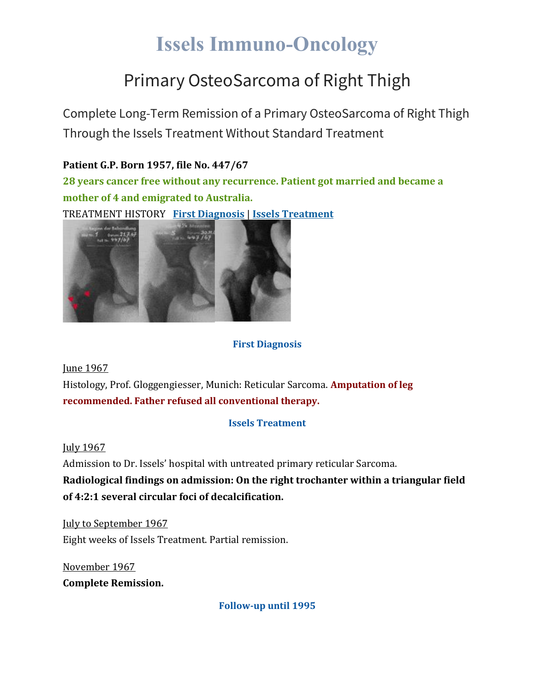# **Issels Immuno-Oncology**

### Primary OsteoSarcoma of Right Thigh

Complete Long-Term Remission of a Primary OsteoSarcoma of Right Thigh Through the Issels Treatment Without Standard Treatment

#### **Patient G.P. Born 1957, file No. 447/67**

**28 years cancer free without any recurrence. Patient got married and became a mother of 4 and emigrated to Australia.**

TREATMENT HISTORY **First [Diagnosis](https://issels.com/cancer-cases/sarcoma-3-primary-osteosarcoma-of-right-thigh/#First)** | **Issels [Treatment](https://issels.com/cancer-cases/sarcoma-3-primary-osteosarcoma-of-right-thigh/#Issels)**



#### **First Diagnosis**

June 1967

Histology, Prof. Gloggengiesser, Munich: Reticular Sarcoma. **Amputation of leg recommended. Father refused all conventional therapy.**

#### **Issels Treatment**

July 1967

Admission to Dr. Issels' hospital with untreated primary reticular Sarcoma.

**Radiological findings on admission: On the right trochanter within a triangular field of 4:2:1 several circular foci of decalcification.**

July to September 1967 Eight weeks of Issels Treatment. Partial remission.

November 1967 **Complete Remission.**

**Follow-up until 1995**